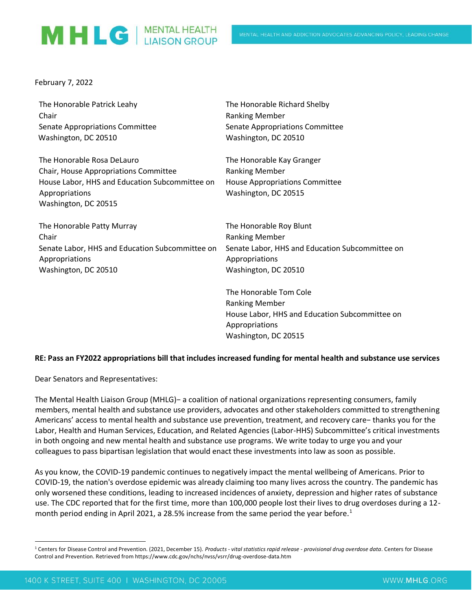## MHLG | MENTAL HEALTH

February 7, 2022

| The Honorable Patrick Leahy                     | The Honorable Richard Shelby                    |
|-------------------------------------------------|-------------------------------------------------|
| Chair                                           | <b>Ranking Member</b>                           |
| Senate Appropriations Committee                 | Senate Appropriations Committee                 |
| Washington, DC 20510                            | Washington, DC 20510                            |
| The Honorable Rosa DeLauro                      | The Honorable Kay Granger                       |
| Chair, House Appropriations Committee           | <b>Ranking Member</b>                           |
| House Labor, HHS and Education Subcommittee on  | <b>House Appropriations Committee</b>           |
| Appropriations                                  | Washington, DC 20515                            |
| Washington, DC 20515                            |                                                 |
| The Honorable Patty Murray                      | The Honorable Roy Blunt                         |
| Chair                                           | <b>Ranking Member</b>                           |
| Senate Labor, HHS and Education Subcommittee on | Senate Labor, HHS and Education Subcommittee on |
| Appropriations                                  | Appropriations                                  |
| Washington, DC 20510                            | Washington, DC 20510                            |
|                                                 | The Honorable Tom Cole                          |

## **RE: Pass an FY2022 appropriations bill that includes increased funding for mental health and substance use services**

Ranking Member

Appropriations

Washington, DC 20515

House Labor, HHS and Education Subcommittee on

Dear Senators and Representatives:

The Mental Health Liaison Group (MHLG)− a coalition of national organizations representing consumers, family members, mental health and substance use providers, advocates and other stakeholders committed to strengthening Americans' access to mental health and substance use prevention, treatment, and recovery care− thanks you for the Labor, Health and Human Services, Education, and Related Agencies (Labor-HHS) Subcommittee's critical investments in both ongoing and new mental health and substance use programs. We write today to urge you and your colleagues to pass bipartisan legislation that would enact these investments into law as soon as possible.

As you know, the COVID-19 pandemic continues to negatively impact the mental wellbeing of Americans. Prior to COVID-19, the nation's overdose epidemic was already claiming too many lives across the country. The pandemic has only worsened these conditions, leading to increased incidences of anxiety, depression and higher rates of substance use. The CDC reported that for the first time, more than 100,000 people lost their lives to drug overdoses during a 12 month period ending in April 2021, a 28.5% increase from the same period the year before.<sup>1</sup>

<sup>1</sup> Centers for Disease Control and Prevention. (2021, December 15). *Products - vital statistics rapid release - provisional drug overdose data*. Centers for Disease Control and Prevention. Retrieved from https://www.cdc.gov/nchs/nvss/vsrr/drug-overdose-data.htm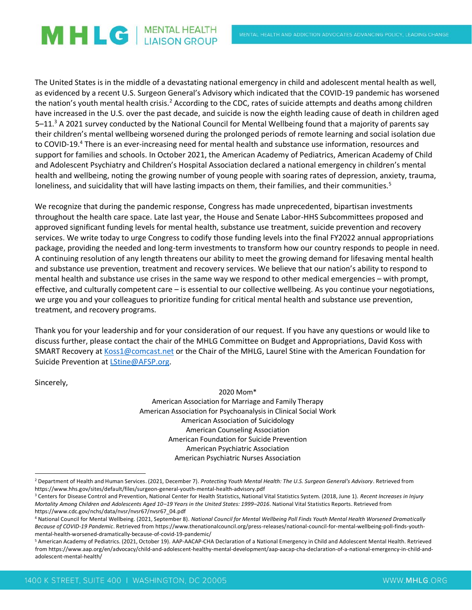## MHLG | MENTAL HEALTH

The United States is in the middle of a devastating national emergency in child and adolescent mental health as well, as evidenced by a recent U.S. Surgeon General's Advisory which indicated that the COVID-19 pandemic has worsened the nation's youth mental health crisis.<sup>2</sup> According to the CDC, rates of suicide attempts and deaths among children have increased in the U.S. over the past decade, and suicide is now the eighth leading cause of death in children aged 5–11.<sup>3</sup> A 2021 survey conducted by the National Council for Mental Wellbeing found that a majority of parents say their children's mental wellbeing worsened during the prolonged periods of remote learning and social isolation due to COVID-19.<sup>4</sup> There is an ever-increasing need for mental health and substance use information, resources and support for families and schools. In October 2021, the American Academy of Pediatrics, American Academy of Child and Adolescent Psychiatry and Children's Hospital Association declared a national emergency in children's mental health and wellbeing, noting the growing number of young people with soaring rates of depression, anxiety, trauma, loneliness, and suicidality that will have lasting impacts on them, their families, and their communities.<sup>5</sup>

We recognize that during the pandemic response, Congress has made unprecedented, bipartisan investments throughout the health care space. Late last year, the House and Senate Labor-HHS Subcommittees proposed and approved significant funding levels for mental health, substance use treatment, suicide prevention and recovery services. We write today to urge Congress to codify those funding levels into the final FY2022 annual appropriations package, providing the needed and long-term investments to transform how our country responds to people in need. A continuing resolution of any length threatens our ability to meet the growing demand for lifesaving mental health and substance use prevention, treatment and recovery services. We believe that our nation's ability to respond to mental health and substance use crises in the same way we respond to other medical emergencies – with prompt, effective, and culturally competent care – is essential to our collective wellbeing. As you continue your negotiations, we urge you and your colleagues to prioritize funding for critical mental health and substance use prevention, treatment, and recovery programs.

Thank you for your leadership and for your consideration of our request. If you have any questions or would like to discuss further, please contact the chair of the MHLG Committee on Budget and Appropriations, David Koss with SMART Recovery at [Koss1@comcast.net](mailto:Koss1@comcast.net) or the Chair of the MHLG, Laurel Stine with the American Foundation for Suicide Prevention a[t LStine@AFSP.org.](mailto:LStine@AFSP.org)

Sincerely,

2020 Mom\* American Association for Marriage and Family Therapy American Association for Psychoanalysis in Clinical Social Work American Association of Suicidology American Counseling Association American Foundation for Suicide Prevention American Psychiatric Association American Psychiatric Nurses Association

<sup>2</sup> Department of Health and Human Services. (2021, December 7). *Protecting Youth Mental Health: The U.S. Surgeon General's Advisory*. Retrieved from https://www.hhs.gov/sites/default/files/surgeon-general-youth-mental-health-advisory.pdf

<sup>&</sup>lt;sup>3</sup> Centers for Disease Control and Prevention, National Center for Health Statistics, National Vital Statistics System. (2018, June 1). Recent Increases in Injury *Mortality Among Children and Adolescents Aged 10–19 Years in the United States: 1999–2016*. National Vital Statistics Reports. Retrieved from https://www.cdc.gov/nchs/data/nvsr/nvsr67/nvsr67\_04.pdf

<sup>4</sup> National Council for Mental Wellbeing. (2021, September 8). *National Council for Mental Wellbeing Poll Finds Youth Mental Health Worsened Dramatically Because of COVID-19 Pandemic*. Retrieved from https://www.thenationalcouncil.org/press-releases/national-council-for-mental-wellbeing-poll-finds-youthmental-health-worsened-dramatically-because-of-covid-19-pandemic/

<sup>5</sup> American Academy of Pediatrics. (2021, October 19). AAP-AACAP-CHA Declaration of a National Emergency in Child and Adolescent Mental Health. Retrieved from https://www.aap.org/en/advocacy/child-and-adolescent-healthy-mental-development/aap-aacap-cha-declaration-of-a-national-emergency-in-child-andadolescent-mental-health/